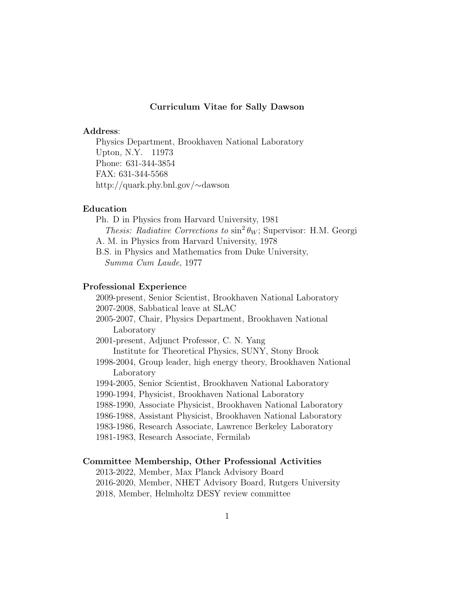#### Curriculum Vitae for Sally Dawson

#### Address:

Physics Department, Brookhaven National Laboratory Upton, N.Y. 11973 Phone: 631-344-3854 FAX: 631-344-5568 http://quark.phy.bnl.gov/∼dawson

# Education

Ph. D in Physics from Harvard University, 1981 Thesis: Radiative Corrections to  $\sin^2 \theta_W$ ; Supervisor: H.M. Georgi A. M. in Physics from Harvard University, 1978 B.S. in Physics and Mathematics from Duke University, Summa Cum Laude, 1977

## Professional Experience

2009-present, Senior Scientist, Brookhaven National Laboratory 2007-2008, Sabbatical leave at SLAC 2005-2007, Chair, Physics Department, Brookhaven National Laboratory 2001-present, Adjunct Professor, C. N. Yang Institute for Theoretical Physics, SUNY, Stony Brook 1998-2004, Group leader, high energy theory, Brookhaven National Laboratory 1994-2005, Senior Scientist, Brookhaven National Laboratory 1990-1994, Physicist, Brookhaven National Laboratory 1988-1990, Associate Physicist, Brookhaven National Laboratory 1986-1988, Assistant Physicist, Brookhaven National Laboratory 1983-1986, Research Associate, Lawrence Berkeley Laboratory 1981-1983, Research Associate, Fermilab

#### Committee Membership, Other Professional Activities

2013-2022, Member, Max Planck Advisory Board 2016-2020, Member, NHET Advisory Board, Rutgers University 2018, Member, Helmholtz DESY review committee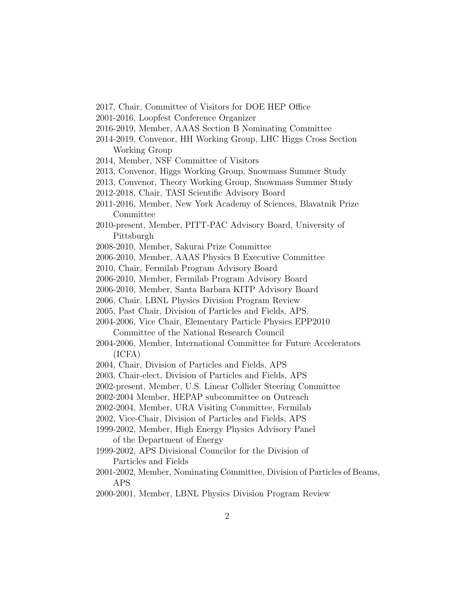- 2017, Chair, Committee of Visitors for DOE HEP Office
- 2001-2016, Loopfest Conference Organizer
- 2016-2019, Member, AAAS Section B Nominating Committee
- 2014-2019, Convenor, HH Working Group, LHC Higgs Cross Section Working Group
- 2014, Member, NSF Committee of Visitors
- 2013, Convenor, Higgs Working Group, Snowmass Summer Study
- 2013, Convenor, Theory Working Group, Snowmass Summer Study
- 2012-2018, Chair, TASI Scientific Advisory Board
- 2011-2016, Member, New York Academy of Sciences, Blavatnik Prize Committee
- 2010-present, Member, PITT-PAC Advisory Board, University of Pittsburgh
- 2008-2010, Member, Sakurai Prize Committee
- 2006-2010, Member, AAAS Physics B Executive Committee
- 2010, Chair, Fermilab Program Advisory Board
- 2006-2010, Member, Fermilab Program Advisory Board
- 2006-2010, Member, Santa Barbara KITP Advisory Board
- 2006, Chair, LBNL Physics Division Program Review
- 2005, Past Chair, Division of Particles and Fields, APS.
- 2004-2006, Vice Chair, Elementary Particle Physics EPP2010 Committee of the National Research Council
- 2004-2006, Member, International Committee for Future Accelerators (ICFA)
- 2004, Chair, Division of Particles and Fields, APS
- 2003, Chair-elect, Division of Particles and Fields, APS
- 2002-present, Member, U.S. Linear Collider Steering Committee
- 2002-2004 Member, HEPAP subcommittee on Outreach
- 2002-2004, Member, URA Visiting Committee, Fermilab
- 2002, Vice-Chair, Division of Particles and Fields, APS
- 1999-2002, Member, High Energy Physics Advisory Panel of the Department of Energy
- 1999-2002, APS Divisional Councilor for the Division of Particles and Fields
- 2001-2002, Member, Nominating Committee, Division of Particles of Beams, APS
- 2000-2001, Member, LBNL Physics Division Program Review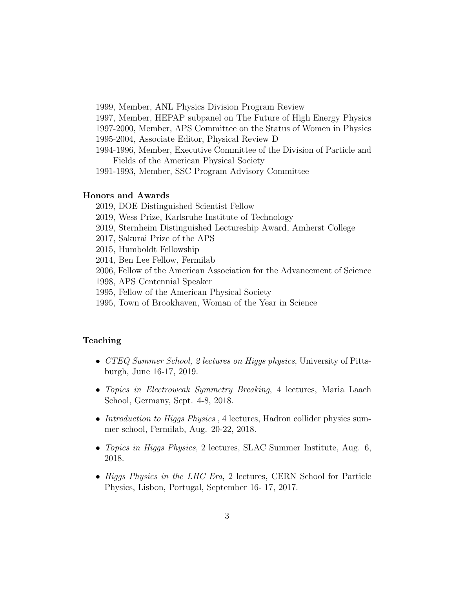1999, Member, ANL Physics Division Program Review

1997, Member, HEPAP subpanel on The Future of High Energy Physics

1997-2000, Member, APS Committee on the Status of Women in Physics

1995-2004, Associate Editor, Physical Review D

1994-1996, Member, Executive Committee of the Division of Particle and Fields of the American Physical Society

1991-1993, Member, SSC Program Advisory Committee

# Honors and Awards

- 2019, DOE Distinguished Scientist Fellow
- 2019, Wess Prize, Karlsruhe Institute of Technology
- 2019, Sternheim Distinguished Lectureship Award, Amherst College
- 2017, Sakurai Prize of the APS
- 2015, Humboldt Fellowship
- 2014, Ben Lee Fellow, Fermilab
- 2006, Fellow of the American Association for the Advancement of Science
- 1998, APS Centennial Speaker
- 1995, Fellow of the American Physical Society
- 1995, Town of Brookhaven, Woman of the Year in Science

# Teaching

- CTEQ Summer School, 2 lectures on Higgs physics, University of Pittsburgh, June 16-17, 2019.
- *Topics in Electroweak Symmetry Breaking*, 4 lectures, Maria Laach School, Germany, Sept. 4-8, 2018.
- Introduction to Higgs Physics, 4 lectures, Hadron collider physics summer school, Fermilab, Aug. 20-22, 2018.
- *Topics in Higgs Physics*, 2 lectures, SLAC Summer Institute, Aug. 6, 2018.
- Higgs Physics in the LHC Era, 2 lectures, CERN School for Particle Physics, Lisbon, Portugal, September 16- 17, 2017.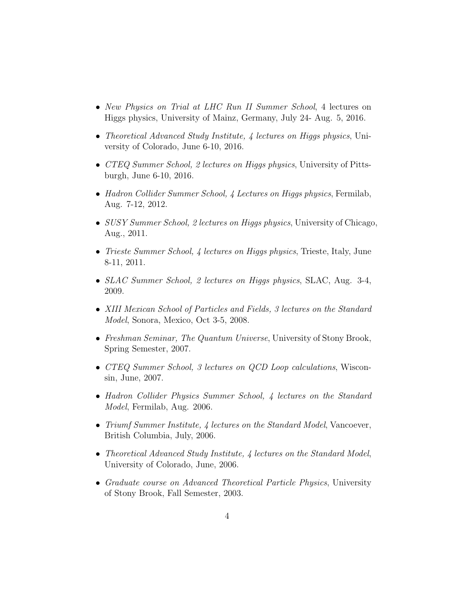- New Physics on Trial at LHC Run II Summer School, 4 lectures on Higgs physics, University of Mainz, Germany, July 24- Aug. 5, 2016.
- Theoretical Advanced Study Institute, 4 lectures on Higgs physics, University of Colorado, June 6-10, 2016.
- CTEQ Summer School, 2 lectures on Higgs physics, University of Pittsburgh, June 6-10, 2016.
- Hadron Collider Summer School, 4 Lectures on Higgs physics, Fermilab, Aug. 7-12, 2012.
- SUSY Summer School, 2 lectures on Higgs physics, University of Chicago, Aug., 2011.
- *Trieste Summer School, 4 lectures on Higgs physics*, Trieste, Italy, June 8-11, 2011.
- SLAC Summer School, 2 lectures on Higgs physics, SLAC, Aug. 3-4, 2009.
- XIII Mexican School of Particles and Fields, 3 lectures on the Standard Model, Sonora, Mexico, Oct 3-5, 2008.
- Freshman Seminar, The Quantum Universe, University of Stony Brook, Spring Semester, 2007.
- CTEQ Summer School, 3 lectures on QCD Loop calculations, Wisconsin, June, 2007.
- Hadron Collider Physics Summer School, 4 lectures on the Standard Model, Fermilab, Aug. 2006.
- Triumf Summer Institute, 4 lectures on the Standard Model, Vancoever, British Columbia, July, 2006.
- Theoretical Advanced Study Institute, 4 lectures on the Standard Model, University of Colorado, June, 2006.
- Graduate course on Advanced Theoretical Particle Physics, University of Stony Brook, Fall Semester, 2003.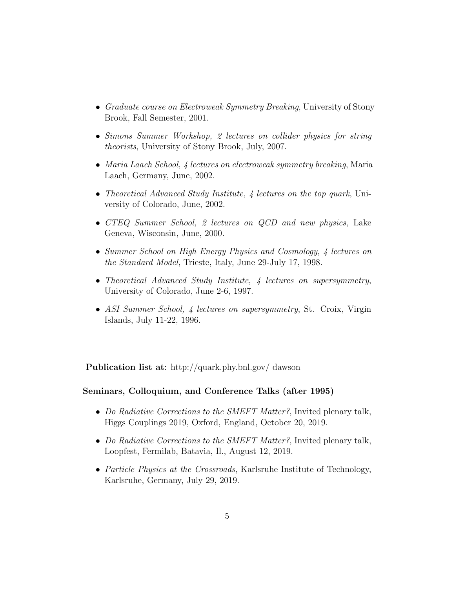- Graduate course on Electroweak Symmetry Breaking, University of Stony Brook, Fall Semester, 2001.
- Simons Summer Workshop, 2 lectures on collider physics for string theorists, University of Stony Brook, July, 2007.
- Maria Laach School, 4 lectures on electroweak symmetry breaking, Maria Laach, Germany, June, 2002.
- Theoretical Advanced Study Institute, 4 lectures on the top quark, University of Colorado, June, 2002.
- CTEQ Summer School, 2 lectures on QCD and new physics, Lake Geneva, Wisconsin, June, 2000.
- Summer School on High Energy Physics and Cosmology, 4 lectures on the Standard Model, Trieste, Italy, June 29-July 17, 1998.
- Theoretical Advanced Study Institute, 4 lectures on supersymmetry, University of Colorado, June 2-6, 1997.
- ASI Summer School, 4 lectures on supersymmetry, St. Croix, Virgin Islands, July 11-22, 1996.

Publication list at: http://quark.phy.bnl.gov/ dawson

## Seminars, Colloquium, and Conference Talks (after 1995)

- Do Radiative Corrections to the SMEFT Matter?, Invited plenary talk, Higgs Couplings 2019, Oxford, England, October 20, 2019.
- Do Radiative Corrections to the SMEFT Matter?, Invited plenary talk, Loopfest, Fermilab, Batavia, Il., August 12, 2019.
- Particle Physics at the Crossroads, Karlsruhe Institute of Technology, Karlsruhe, Germany, July 29, 2019.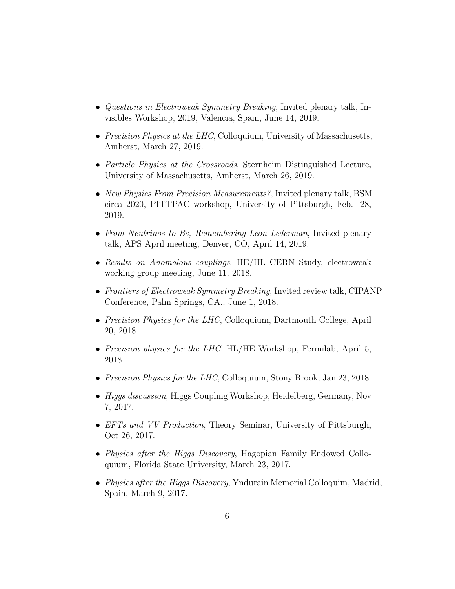- Questions in Electroweak Symmetry Breaking, Invited plenary talk, Invisibles Workshop, 2019, Valencia, Spain, June 14, 2019.
- Precision Physics at the LHC, Colloquium, University of Massachusetts, Amherst, March 27, 2019.
- *Particle Physics at the Crossroads*, Sternheim Distinguished Lecture, University of Massachusetts, Amherst, March 26, 2019.
- New Physics From Precision Measurements?, Invited plenary talk, BSM circa 2020, PITTPAC workshop, University of Pittsburgh, Feb. 28, 2019.
- From Neutrinos to Bs, Remembering Leon Lederman, Invited plenary talk, APS April meeting, Denver, CO, April 14, 2019.
- Results on Anomalous couplings, HE/HL CERN Study, electroweak working group meeting, June 11, 2018.
- Frontiers of Electroweak Symmetry Breaking, Invited review talk, CIPANP Conference, Palm Springs, CA., June 1, 2018.
- Precision Physics for the LHC, Colloquium, Dartmouth College, April 20, 2018.
- Precision physics for the LHC, HL/HE Workshop, Fermilab, April 5, 2018.
- Precision Physics for the LHC, Colloquium, Stony Brook, Jan 23, 2018.
- *Higgs discussion*, Higgs Coupling Workshop, Heidelberg, Germany, Nov 7, 2017.
- EFTs and VV Production, Theory Seminar, University of Pittsburgh, Oct 26, 2017.
- Physics after the Higgs Discovery, Hagopian Family Endowed Colloquium, Florida State University, March 23, 2017.
- Physics after the Higgs Discovery, Yndurain Memorial Colloquim, Madrid, Spain, March 9, 2017.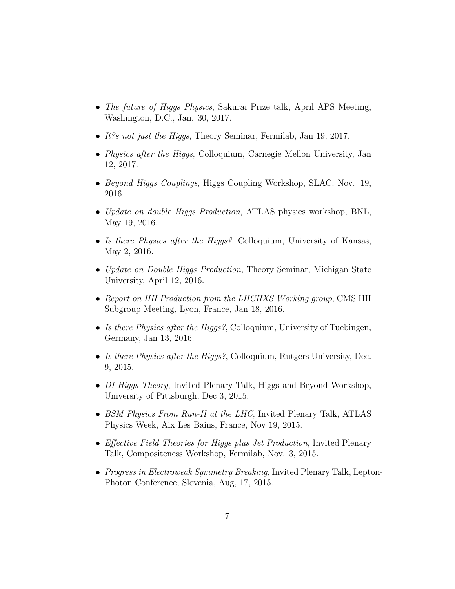- The future of Higgs Physics, Sakurai Prize talk, April APS Meeting, Washington, D.C., Jan. 30, 2017.
- It?s not just the Higgs, Theory Seminar, Fermilab, Jan 19, 2017.
- *Physics after the Higgs*, Colloquium, Carnegie Mellon University, Jan 12, 2017.
- Beyond Higgs Couplings, Higgs Coupling Workshop, SLAC, Nov. 19, 2016.
- Update on double Higgs Production, ATLAS physics workshop, BNL, May 19, 2016.
- Is there Physics after the Higgs?, Colloquium, University of Kansas, May 2, 2016.
- Update on Double Higgs Production, Theory Seminar, Michigan State University, April 12, 2016.
- Report on HH Production from the LHCHXS Working group, CMS HH Subgroup Meeting, Lyon, France, Jan 18, 2016.
- Is there Physics after the Higgs?, Colloquium, University of Tuebingen, Germany, Jan 13, 2016.
- Is there Physics after the Higgs?, Colloquium, Rutgers University, Dec. 9, 2015.
- DI-Higgs Theory, Invited Plenary Talk, Higgs and Beyond Workshop, University of Pittsburgh, Dec 3, 2015.
- BSM Physics From Run-II at the LHC, Invited Plenary Talk, ATLAS Physics Week, Aix Les Bains, France, Nov 19, 2015.
- Effective Field Theories for Higgs plus Jet Production, Invited Plenary Talk, Compositeness Workshop, Fermilab, Nov. 3, 2015.
- Progress in Electroweak Symmetry Breaking, Invited Plenary Talk, Lepton-Photon Conference, Slovenia, Aug, 17, 2015.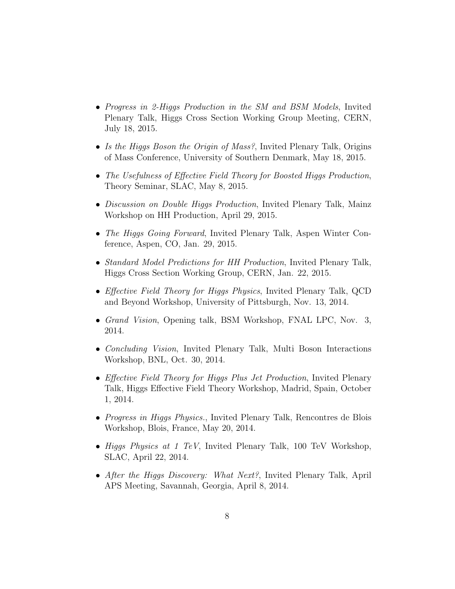- Progress in 2-Higgs Production in the SM and BSM Models, Invited Plenary Talk, Higgs Cross Section Working Group Meeting, CERN, July 18, 2015.
- Is the Higgs Boson the Origin of Mass?, Invited Plenary Talk, Origins of Mass Conference, University of Southern Denmark, May 18, 2015.
- The Usefulness of Effective Field Theory for Boosted Higgs Production, Theory Seminar, SLAC, May 8, 2015.
- Discussion on Double Higgs Production, Invited Plenary Talk, Mainz Workshop on HH Production, April 29, 2015.
- The Higgs Going Forward, Invited Plenary Talk, Aspen Winter Conference, Aspen, CO, Jan. 29, 2015.
- Standard Model Predictions for HH Production, Invited Plenary Talk, Higgs Cross Section Working Group, CERN, Jan. 22, 2015.
- Effective Field Theory for Higgs Physics, Invited Plenary Talk, QCD and Beyond Workshop, University of Pittsburgh, Nov. 13, 2014.
- Grand Vision, Opening talk, BSM Workshop, FNAL LPC, Nov. 3, 2014.
- Concluding Vision, Invited Plenary Talk, Multi Boson Interactions Workshop, BNL, Oct. 30, 2014.
- Effective Field Theory for Higgs Plus Jet Production, Invited Plenary Talk, Higgs Effective Field Theory Workshop, Madrid, Spain, October 1, 2014.
- *Progress in Higgs Physics.*, Invited Plenary Talk, Rencontres de Blois Workshop, Blois, France, May 20, 2014.
- Higgs Physics at 1 TeV, Invited Plenary Talk, 100 TeV Workshop, SLAC, April 22, 2014.
- After the Higgs Discovery: What Next?, Invited Plenary Talk, April APS Meeting, Savannah, Georgia, April 8, 2014.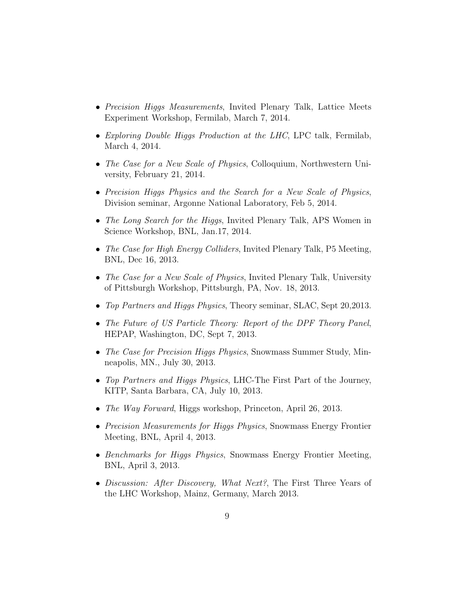- Precision Higgs Measurements, Invited Plenary Talk, Lattice Meets Experiment Workshop, Fermilab, March 7, 2014.
- Exploring Double Higgs Production at the LHC, LPC talk, Fermilab, March 4, 2014.
- The Case for a New Scale of Physics, Colloquium, Northwestern University, February 21, 2014.
- Precision Higgs Physics and the Search for a New Scale of Physics, Division seminar, Argonne National Laboratory, Feb 5, 2014.
- The Long Search for the Higgs, Invited Plenary Talk, APS Women in Science Workshop, BNL, Jan.17, 2014.
- The Case for High Energy Colliders, Invited Plenary Talk, P5 Meeting, BNL, Dec 16, 2013.
- The Case for a New Scale of Physics, Invited Plenary Talk, University of Pittsburgh Workshop, Pittsburgh, PA, Nov. 18, 2013.
- Top Partners and Higgs Physics, Theory seminar, SLAC, Sept 20, 2013.
- The Future of US Particle Theory: Report of the DPF Theory Panel, HEPAP, Washington, DC, Sept 7, 2013.
- The Case for Precision Higgs Physics, Snowmass Summer Study, Minneapolis, MN., July 30, 2013.
- Top Partners and Higgs Physics, LHC-The First Part of the Journey, KITP, Santa Barbara, CA, July 10, 2013.
- The Way Forward, Higgs workshop, Princeton, April 26, 2013.
- Precision Measurements for Higgs Physics, Snowmass Energy Frontier Meeting, BNL, April 4, 2013.
- Benchmarks for Higgs Physics, Snowmass Energy Frontier Meeting, BNL, April 3, 2013.
- Discussion: After Discovery, What Next?, The First Three Years of the LHC Workshop, Mainz, Germany, March 2013.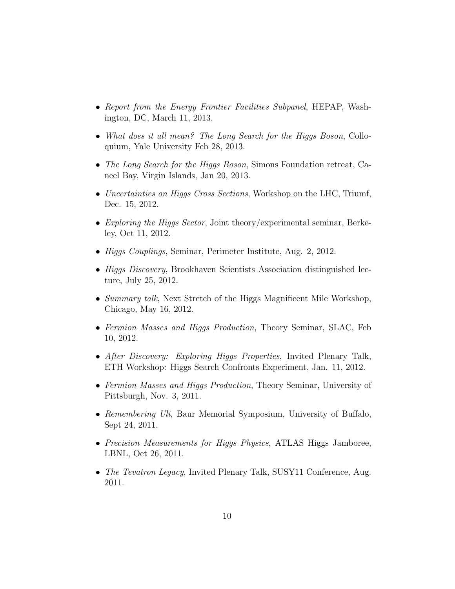- Report from the Energy Frontier Facilities Subpanel, HEPAP, Washington, DC, March 11, 2013.
- What does it all mean? The Long Search for the Higgs Boson, Colloquium, Yale University Feb 28, 2013.
- The Long Search for the Higgs Boson, Simons Foundation retreat, Caneel Bay, Virgin Islands, Jan 20, 2013.
- Uncertainties on Higgs Cross Sections, Workshop on the LHC, Triumf, Dec. 15, 2012.
- Exploring the Higgs Sector, Joint theory/experimental seminar, Berkeley, Oct 11, 2012.
- *Higgs Couplings*, Seminar, Perimeter Institute, Aug. 2, 2012.
- *Higgs Discovery*, Brookhaven Scientists Association distinguished lecture, July 25, 2012.
- Summary talk, Next Stretch of the Higgs Magnificent Mile Workshop, Chicago, May 16, 2012.
- Fermion Masses and Higgs Production, Theory Seminar, SLAC, Feb 10, 2012.
- After Discovery: Exploring Higgs Properties, Invited Plenary Talk, ETH Workshop: Higgs Search Confronts Experiment, Jan. 11, 2012.
- Fermion Masses and Higgs Production, Theory Seminar, University of Pittsburgh, Nov. 3, 2011.
- Remembering Uli, Baur Memorial Symposium, University of Buffalo, Sept 24, 2011.
- Precision Measurements for Higgs Physics, ATLAS Higgs Jamboree, LBNL, Oct 26, 2011.
- The Tevatron Legacy, Invited Plenary Talk, SUSY11 Conference, Aug. 2011.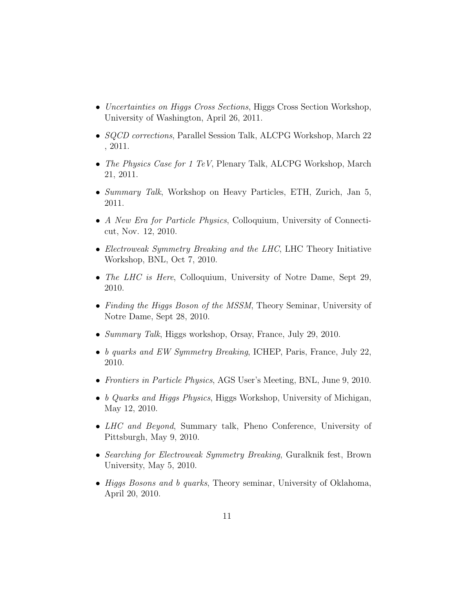- Uncertainties on Higgs Cross Sections, Higgs Cross Section Workshop, University of Washington, April 26, 2011.
- *SQCD corrections*, Parallel Session Talk, ALCPG Workshop, March 22 , 2011.
- The Physics Case for 1 TeV, Plenary Talk, ALCPG Workshop, March 21, 2011.
- Summary Talk, Workshop on Heavy Particles, ETH, Zurich, Jan 5, 2011.
- A New Era for Particle Physics, Colloquium, University of Connecticut, Nov. 12, 2010.
- Electroweak Symmetry Breaking and the LHC, LHC Theory Initiative Workshop, BNL, Oct 7, 2010.
- The LHC is Here, Colloquium, University of Notre Dame, Sept 29, 2010.
- Finding the Higgs Boson of the MSSM, Theory Seminar, University of Notre Dame, Sept 28, 2010.
- Summary Talk, Higgs workshop, Orsay, France, July 29, 2010.
- b quarks and EW Symmetry Breaking, ICHEP, Paris, France, July 22, 2010.
- Frontiers in Particle Physics, AGS User's Meeting, BNL, June 9, 2010.
- b Quarks and Higgs Physics, Higgs Workshop, University of Michigan, May 12, 2010.
- *LHC and Beyond*, Summary talk, Pheno Conference, University of Pittsburgh, May 9, 2010.
- Searching for Electroweak Symmetry Breaking, Guralknik fest, Brown University, May 5, 2010.
- Higgs Bosons and b quarks, Theory seminar, University of Oklahoma, April 20, 2010.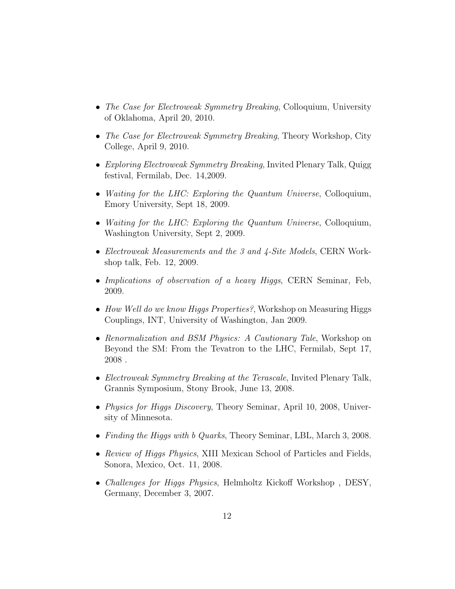- The Case for Electroweak Symmetry Breaking, Colloquium, University of Oklahoma, April 20, 2010.
- The Case for Electroweak Symmetry Breaking, Theory Workshop, City College, April 9, 2010.
- Exploring Electroweak Symmetry Breaking, Invited Plenary Talk, Quigg festival, Fermilab, Dec. 14,2009.
- Waiting for the LHC: Exploring the Quantum Universe, Colloquium, Emory University, Sept 18, 2009.
- Waiting for the LHC: Exploring the Quantum Universe, Colloquium, Washington University, Sept 2, 2009.
- Electroweak Measurements and the 3 and 4-Site Models, CERN Workshop talk, Feb. 12, 2009.
- Implications of observation of a heavy Higgs, CERN Seminar, Feb, 2009.
- How Well do we know Higgs Properties?, Workshop on Measuring Higgs Couplings, INT, University of Washington, Jan 2009.
- Renormalization and BSM Physics: A Cautionary Tale, Workshop on Beyond the SM: From the Tevatron to the LHC, Fermilab, Sept 17,  $\,2008$  .
- Electroweak Symmetry Breaking at the Terascale, Invited Plenary Talk, Grannis Symposium, Stony Brook, June 13, 2008.
- *Physics for Higgs Discovery*, Theory Seminar, April 10, 2008, University of Minnesota.
- Finding the Higgs with b Quarks, Theory Seminar, LBL, March 3, 2008.
- Review of Higgs Physics, XIII Mexican School of Particles and Fields, Sonora, Mexico, Oct. 11, 2008.
- Challenges for Higgs Physics, Helmholtz Kickoff Workshop , DESY, Germany, December 3, 2007.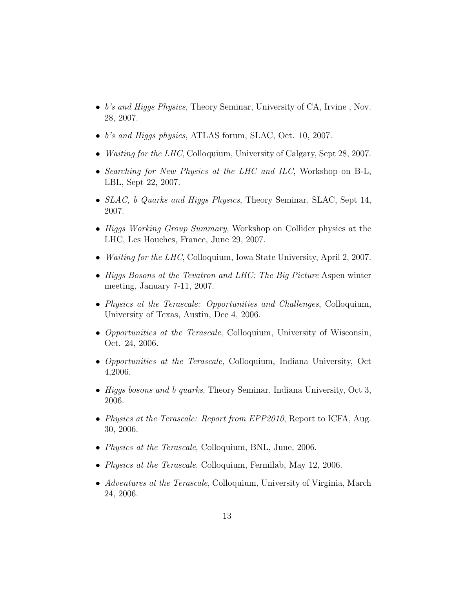- b's and Higgs Physics, Theory Seminar, University of CA, Irvine, Nov. 28, 2007.
- b's and Higgs physics, ATLAS forum, SLAC, Oct. 10, 2007.
- *Waiting for the LHC*, Colloquium, University of Calgary, Sept 28, 2007.
- Searching for New Physics at the LHC and ILC, Workshop on B-L, LBL, Sept 22, 2007.
- SLAC, b Quarks and Higgs Physics, Theory Seminar, SLAC, Sept 14, 2007.
- Higgs Working Group Summary, Workshop on Collider physics at the LHC, Les Houches, France, June 29, 2007.
- *Waiting for the LHC*, Colloquium, Iowa State University, April 2, 2007.
- Higgs Bosons at the Tevatron and LHC: The Big Picture Aspen winter meeting, January 7-11, 2007.
- Physics at the Terascale: Opportunities and Challenges, Colloquium, University of Texas, Austin, Dec 4, 2006.
- Opportunities at the Terascale, Colloquium, University of Wisconsin, Oct. 24, 2006.
- Opportunities at the Terascale, Colloquium, Indiana University, Oct 4,2006.
- Higgs bosons and b quarks, Theory Seminar, Indiana University, Oct 3, 2006.
- Physics at the Terascale: Report from EPP2010, Report to ICFA, Aug. 30, 2006.
- *Physics at the Terascale*, Colloquium, BNL, June, 2006.
- *Physics at the Terascale*, Colloquium, Fermilab, May 12, 2006.
- Adventures at the Terascale, Colloquium, University of Virginia, March 24, 2006.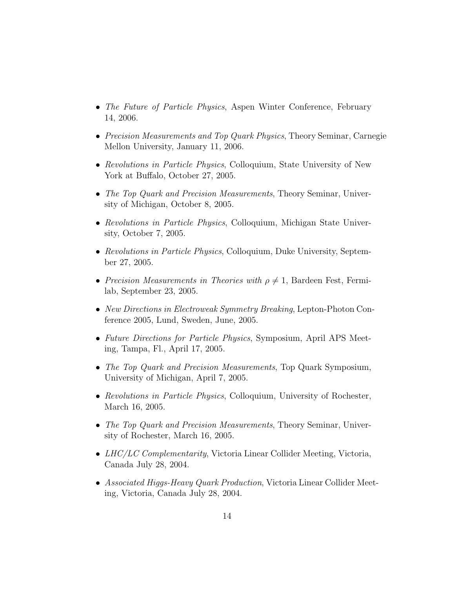- The Future of Particle Physics, Aspen Winter Conference, February 14, 2006.
- Precision Measurements and Top Quark Physics, Theory Seminar, Carnegie Mellon University, January 11, 2006.
- Revolutions in Particle Physics, Colloquium, State University of New York at Buffalo, October 27, 2005.
- The Top Quark and Precision Measurements, Theory Seminar, University of Michigan, October 8, 2005.
- Revolutions in Particle Physics, Colloquium, Michigan State University, October 7, 2005.
- Revolutions in Particle Physics, Colloquium, Duke University, September 27, 2005.
- Precision Measurements in Theories with  $\rho \neq 1$ , Bardeen Fest, Fermilab, September 23, 2005.
- New Directions in Electroweak Symmetry Breaking, Lepton-Photon Conference 2005, Lund, Sweden, June, 2005.
- Future Directions for Particle Physics, Symposium, April APS Meeting, Tampa, Fl., April 17, 2005.
- The Top Quark and Precision Measurements, Top Quark Symposium, University of Michigan, April 7, 2005.
- Revolutions in Particle Physics, Colloquium, University of Rochester, March 16, 2005.
- The Top Quark and Precision Measurements, Theory Seminar, University of Rochester, March 16, 2005.
- LHC/LC Complementarity, Victoria Linear Collider Meeting, Victoria, Canada July 28, 2004.
- Associated Higgs-Heavy Quark Production, Victoria Linear Collider Meeting, Victoria, Canada July 28, 2004.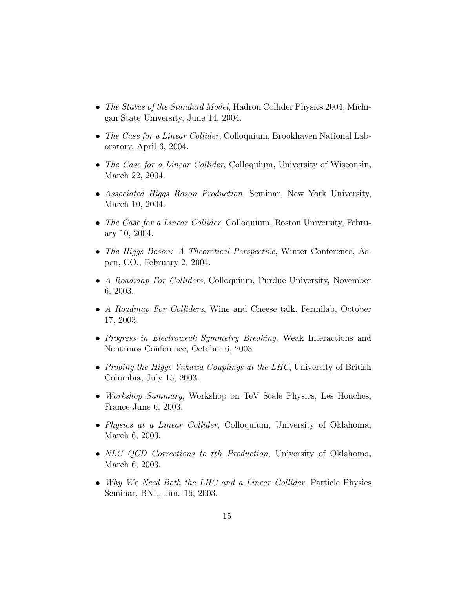- The Status of the Standard Model, Hadron Collider Physics 2004, Michigan State University, June 14, 2004.
- The Case for a Linear Collider, Colloquium, Brookhaven National Laboratory, April 6, 2004.
- The Case for a Linear Collider, Colloquium, University of Wisconsin, March 22, 2004.
- Associated Higgs Boson Production, Seminar, New York University, March 10, 2004.
- The Case for a Linear Collider, Colloquium, Boston University, February 10, 2004.
- The Higgs Boson: A Theoretical Perspective, Winter Conference, Aspen, CO., February 2, 2004.
- A Roadmap For Colliders, Colloquium, Purdue University, November 6, 2003.
- A Roadmap For Colliders, Wine and Cheese talk, Fermilab, October 17, 2003.
- Progress in Electroweak Symmetry Breaking, Weak Interactions and Neutrinos Conference, October 6, 2003.
- Probing the Higgs Yukawa Couplings at the LHC, University of British Columbia, July 15, 2003.
- *Workshop Summary*, Workshop on TeV Scale Physics, Les Houches, France June 6, 2003.
- Physics at a Linear Collider, Colloquium, University of Oklahoma, March 6, 2003.
- NLC QCD Corrections to  $t\bar{t}h$  Production, University of Oklahoma, March 6, 2003.
- Why We Need Both the LHC and a Linear Collider, Particle Physics Seminar, BNL, Jan. 16, 2003.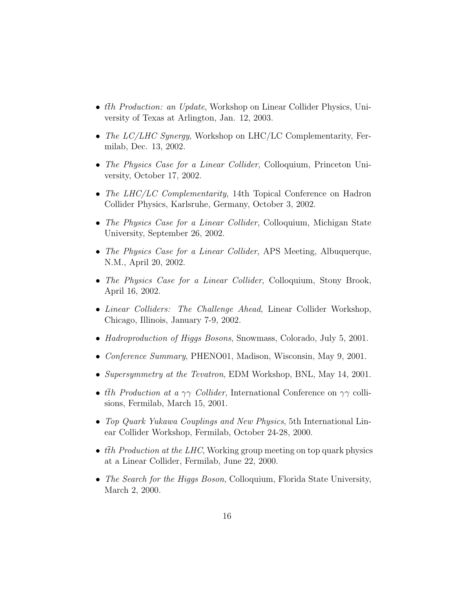- $\bar{t}$  *th Production: an Update*, Workshop on Linear Collider Physics, University of Texas at Arlington, Jan. 12, 2003.
- The LC/LHC Synergy, Workshop on LHC/LC Complementarity, Fermilab, Dec. 13, 2002.
- The Physics Case for a Linear Collider, Colloquium, Princeton University, October 17, 2002.
- The LHC/LC Complementarity, 14th Topical Conference on Hadron Collider Physics, Karlsruhe, Germany, October 3, 2002.
- The Physics Case for a Linear Collider, Colloquium, Michigan State University, September 26, 2002.
- The Physics Case for a Linear Collider, APS Meeting, Albuquerque, N.M., April 20, 2002.
- The Physics Case for a Linear Collider, Colloquium, Stony Brook, April 16, 2002.
- *Linear Colliders: The Challenge Ahead*, Linear Collider Workshop, Chicago, Illinois, January 7-9, 2002.
- Hadroproduction of Higgs Bosons, Snowmass, Colorado, July 5, 2001.
- Conference Summary, PHENO01, Madison, Wisconsin, May 9, 2001.
- Supersymmetry at the Tevatron, EDM Workshop, BNL, May 14, 2001.
- the Production at a  $\gamma\gamma$  Collider, International Conference on  $\gamma\gamma$  collisions, Fermilab, March 15, 2001.
- Top Quark Yukawa Couplings and New Physics, 5th International Linear Collider Workshop, Fermilab, October 24-28, 2000.
- the Production at the LHC, Working group meeting on top quark physics at a Linear Collider, Fermilab, June 22, 2000.
- The Search for the Higgs Boson, Colloquium, Florida State University, March 2, 2000.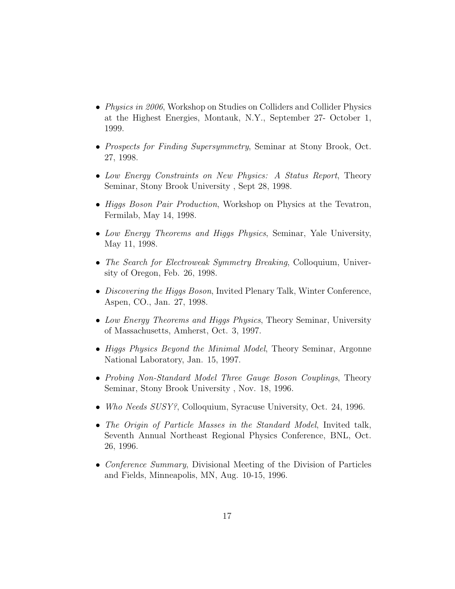- Physics in 2006, Workshop on Studies on Colliders and Collider Physics at the Highest Energies, Montauk, N.Y., September 27- October 1, 1999.
- Prospects for Finding Supersymmetry, Seminar at Stony Brook, Oct. 27, 1998.
- Low Energy Constraints on New Physics: A Status Report, Theory Seminar, Stony Brook University , Sept 28, 1998.
- Higgs Boson Pair Production, Workshop on Physics at the Tevatron, Fermilab, May 14, 1998.
- Low Energy Theorems and Higgs Physics, Seminar, Yale University, May 11, 1998.
- The Search for Electroweak Symmetry Breaking, Colloquium, University of Oregon, Feb. 26, 1998.
- Discovering the Higgs Boson, Invited Plenary Talk, Winter Conference, Aspen, CO., Jan. 27, 1998.
- Low Energy Theorems and Higgs Physics, Theory Seminar, University of Massachusetts, Amherst, Oct. 3, 1997.
- Higgs Physics Beyond the Minimal Model, Theory Seminar, Argonne National Laboratory, Jan. 15, 1997.
- Probing Non-Standard Model Three Gauge Boson Couplings, Theory Seminar, Stony Brook University , Nov. 18, 1996.
- Who Needs SUSY?, Colloquium, Syracuse University, Oct. 24, 1996.
- The Origin of Particle Masses in the Standard Model, Invited talk, Seventh Annual Northeast Regional Physics Conference, BNL, Oct. 26, 1996.
- Conference Summary, Divisional Meeting of the Division of Particles and Fields, Minneapolis, MN, Aug. 10-15, 1996.